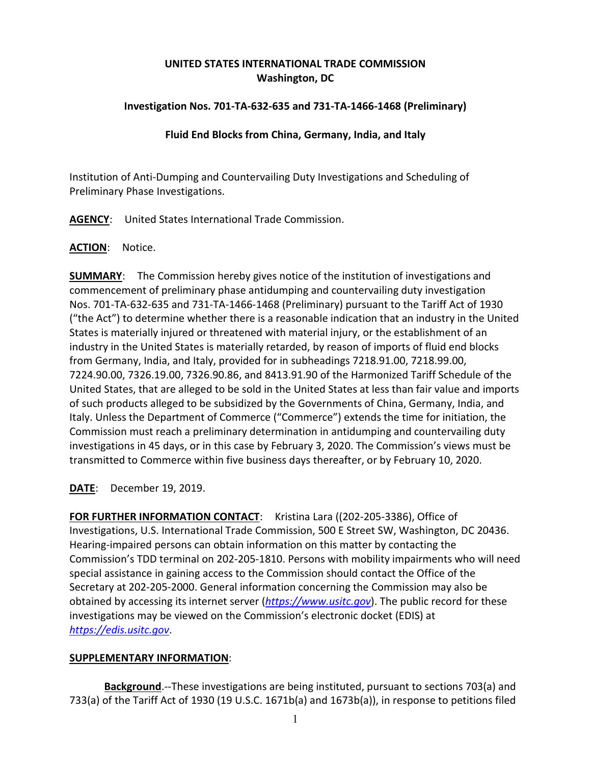# **UNITED STATES INTERNATIONAL TRADE COMMISSION Washington, DC**

### **Investigation Nos. 701-TA-632-635 and 731-TA-1466-1468 (Preliminary)**

#### **Fluid End Blocks from China, Germany, India, and Italy**

Institution of Anti-Dumping and Countervailing Duty Investigations and Scheduling of Preliminary Phase Investigations.

**AGENCY**: United States International Trade Commission.

#### **ACTION**: Notice.

**SUMMARY**: The Commission hereby gives notice of the institution of investigations and commencement of preliminary phase antidumping and countervailing duty investigation Nos. 701-TA-632-635 and 731-TA-1466-1468 (Preliminary) pursuant to the Tariff Act of 1930 ("the Act") to determine whether there is a reasonable indication that an industry in the United States is materially injured or threatened with material injury, or the establishment of an industry in the United States is materially retarded, by reason of imports of fluid end blocks from Germany, India, and Italy, provided for in subheadings 7218.91.00, 7218.99.00, 7224.90.00, 7326.19.00, 7326.90.86, and 8413.91.90 of the Harmonized Tariff Schedule of the United States, that are alleged to be sold in the United States at less than fair value and imports of such products alleged to be subsidized by the Governments of China, Germany, India, and Italy. Unless the Department of Commerce ("Commerce") extends the time for initiation, the Commission must reach a preliminary determination in antidumping and countervailing duty investigations in 45 days, or in this case by February 3, 2020. The Commission's views must be transmitted to Commerce within five business days thereafter, or by February 10, 2020.

**DATE**: December 19, 2019.

**FOR FURTHER INFORMATION CONTACT**: Kristina Lara ((202-205-3386), Office of Investigations, U.S. International Trade Commission, 500 E Street SW, Washington, DC 20436. Hearing-impaired persons can obtain information on this matter by contacting the Commission's TDD terminal on 202-205-1810. Persons with mobility impairments who will need special assistance in gaining access to the Commission should contact the Office of the Secretary at 202-205-2000. General information concerning the Commission may also be obtained by accessing its internet server (*[https://www.usitc.gov](https://www.usitc.gov/)*). The public record for these investigations may be viewed on the Commission's electronic docket (EDIS) at *[https://edis.usitc.gov](https://edis.usitc.gov/)*.

## **SUPPLEMENTARY INFORMATION**:

**Background**.--These investigations are being instituted, pursuant to sections 703(a) and 733(a) of the Tariff Act of 1930 (19 U.S.C. 1671b(a) and 1673b(a)), in response to petitions filed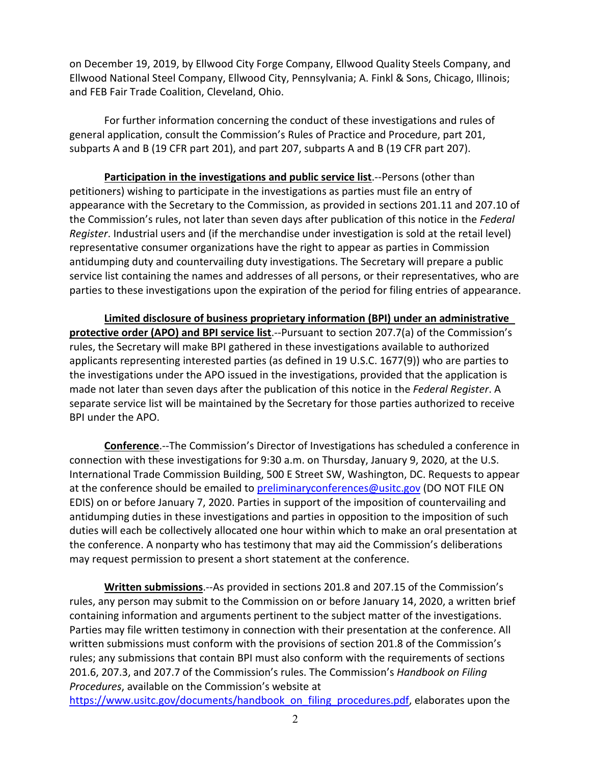on December 19, 2019, by Ellwood City Forge Company, Ellwood Quality Steels Company, and Ellwood National Steel Company, Ellwood City, Pennsylvania; A. Finkl & Sons, Chicago, Illinois; and FEB Fair Trade Coalition, Cleveland, Ohio.

For further information concerning the conduct of these investigations and rules of general application, consult the Commission's Rules of Practice and Procedure, part 201, subparts A and B (19 CFR part 201), and part 207, subparts A and B (19 CFR part 207).

**Participation in the investigations and public service list**.--Persons (other than petitioners) wishing to participate in the investigations as parties must file an entry of appearance with the Secretary to the Commission, as provided in sections 201.11 and 207.10 of the Commission's rules, not later than seven days after publication of this notice in the *Federal Register*. Industrial users and (if the merchandise under investigation is sold at the retail level) representative consumer organizations have the right to appear as parties in Commission antidumping duty and countervailing duty investigations. The Secretary will prepare a public service list containing the names and addresses of all persons, or their representatives, who are parties to these investigations upon the expiration of the period for filing entries of appearance.

**Limited disclosure of business proprietary information (BPI) under an administrative protective order (APO) and BPI service list**.--Pursuant to section 207.7(a) of the Commission's rules, the Secretary will make BPI gathered in these investigations available to authorized applicants representing interested parties (as defined in 19 U.S.C. 1677(9)) who are parties to the investigations under the APO issued in the investigations, provided that the application is made not later than seven days after the publication of this notice in the *Federal Register*. A separate service list will be maintained by the Secretary for those parties authorized to receive BPI under the APO.

**Conference**.--The Commission's Director of Investigations has scheduled a conference in connection with these investigations for 9:30 a.m. on Thursday, January 9, 2020, at the U.S. International Trade Commission Building, 500 E Street SW, Washington, DC. Requests to appear at the conference should be emailed to [preliminaryconferences@usitc.gov](mailto:preliminaryconferences@usitc.gov) (DO NOT FILE ON EDIS) on or before January 7, 2020. Parties in support of the imposition of countervailing and antidumping duties in these investigations and parties in opposition to the imposition of such duties will each be collectively allocated one hour within which to make an oral presentation at the conference. A nonparty who has testimony that may aid the Commission's deliberations may request permission to present a short statement at the conference.

**Written submissions**.--As provided in sections 201.8 and 207.15 of the Commission's rules, any person may submit to the Commission on or before January 14, 2020, a written brief containing information and arguments pertinent to the subject matter of the investigations. Parties may file written testimony in connection with their presentation at the conference. All written submissions must conform with the provisions of section 201.8 of the Commission's rules; any submissions that contain BPI must also conform with the requirements of sections 201.6, 207.3, and 207.7 of the Commission's rules. The Commission's *Handbook on Filing Procedures*, available on the Commission's website at

[https://www.usitc.gov/documents/handbook\\_on\\_filing\\_procedures.pdf,](https://www.usitc.gov/documents/handbook_on_filing_procedures.pdf) elaborates upon the